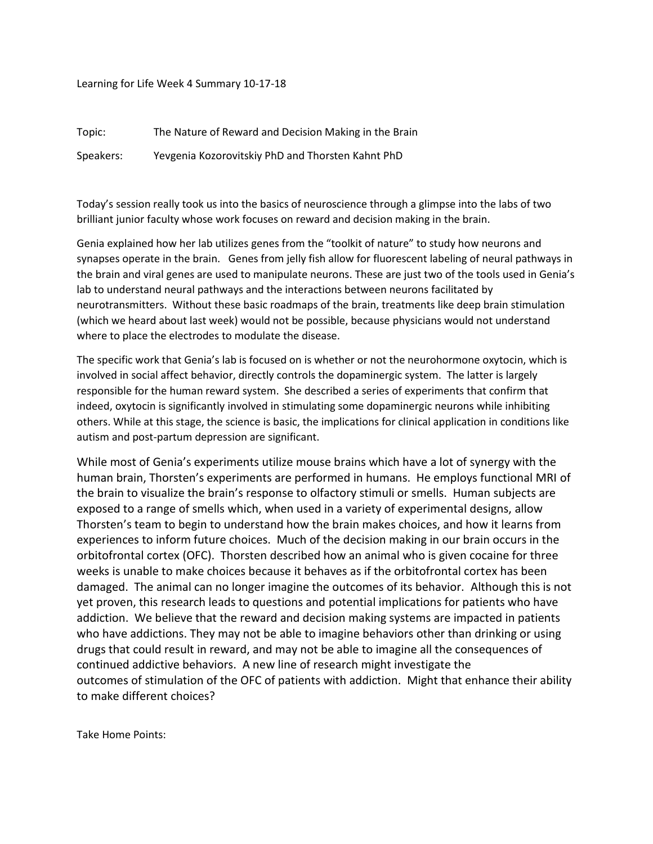Learning for Life Week 4 Summary 10-17-18

Topic: The Nature of Reward and Decision Making in the Brain Speakers: Yevgenia Kozorovitskiy PhD and Thorsten Kahnt PhD

Today's session really took us into the basics of neuroscience through a glimpse into the labs of two brilliant junior faculty whose work focuses on reward and decision making in the brain.

Genia explained how her lab utilizes genes from the "toolkit of nature" to study how neurons and synapses operate in the brain. Genes from jelly fish allow for fluorescent labeling of neural pathways in the brain and viral genes are used to manipulate neurons. These are just two of the tools used in Genia's lab to understand neural pathways and the interactions between neurons facilitated by neurotransmitters. Without these basic roadmaps of the brain, treatments like deep brain stimulation (which we heard about last week) would not be possible, because physicians would not understand where to place the electrodes to modulate the disease.

The specific work that Genia's lab is focused on is whether or not the neurohormone oxytocin, which is involved in social affect behavior, directly controls the dopaminergic system. The latter is largely responsible for the human reward system. She described a series of experiments that confirm that indeed, oxytocin is significantly involved in stimulating some dopaminergic neurons while inhibiting others. While at this stage, the science is basic, the implications for clinical application in conditions like autism and post-partum depression are significant.

While most of Genia's experiments utilize mouse brains which have a lot of synergy with the human brain, Thorsten's experiments are performed in humans. He employs functional MRI of the brain to visualize the brain's response to olfactory stimuli or smells. Human subjects are exposed to a range of smells which, when used in a variety of experimental designs, allow Thorsten's team to begin to understand how the brain makes choices, and how it learns from experiences to inform future choices. Much of the decision making in our brain occurs in the orbitofrontal cortex (OFC). Thorsten described how an animal who is given cocaine for three weeks is unable to make choices because it behaves as if the orbitofrontal cortex has been damaged. The animal can no longer imagine the outcomes of its behavior. Although this is not yet proven, this research leads to questions and potential implications for patients who have addiction. We believe that the reward and decision making systems are impacted in patients who have addictions. They may not be able to imagine behaviors other than drinking or using drugs that could result in reward, and may not be able to imagine all the consequences of continued addictive behaviors. A new line of research might investigate the outcomes of stimulation of the OFC of patients with addiction. Might that enhance their ability to make different choices?

Take Home Points: